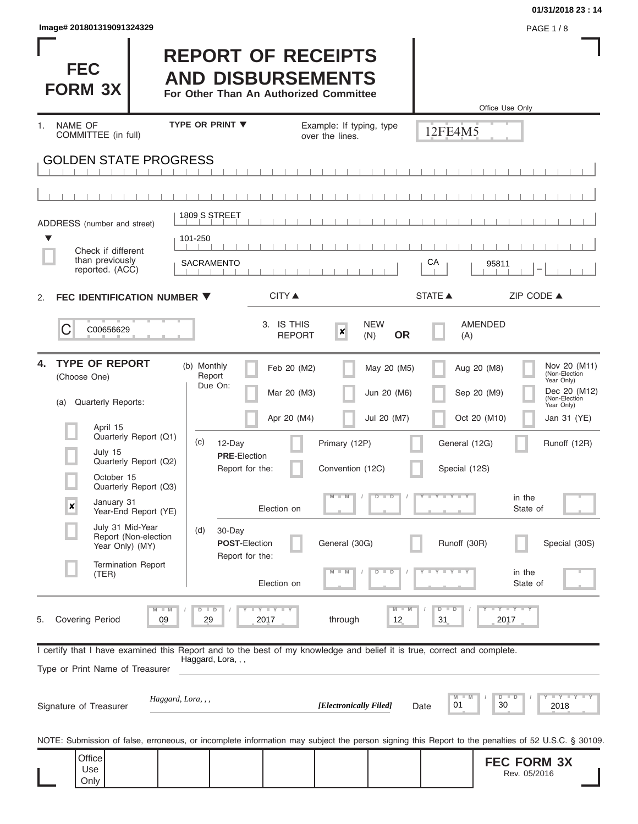| Image# 201801319091324329 | <b>PAGE 1/8</b> |
|---------------------------|-----------------|
|---------------------------|-----------------|

Г

# **01/31/2018 23 : 14**

ı

I

| <b>FEC</b><br><b>FORM 3X</b>                                                                                                                               |                                                                        |                                                          | <b>REPORT OF RECEIPTS</b><br><b>AND DISBURSEMENTS</b><br>For Other Than An Authorized Committee |                                                            |                                   |                                                                                                                                                                         |
|------------------------------------------------------------------------------------------------------------------------------------------------------------|------------------------------------------------------------------------|----------------------------------------------------------|-------------------------------------------------------------------------------------------------|------------------------------------------------------------|-----------------------------------|-------------------------------------------------------------------------------------------------------------------------------------------------------------------------|
| <b>NAME OF</b><br>$\mathbf{1}$ .                                                                                                                           |                                                                        | <b>TYPE OR PRINT ▼</b>                                   |                                                                                                 | Example: If typing, type                                   | 12FE4M5                           | Office Use Only                                                                                                                                                         |
| COMMITTEE (in full)<br><b>GOLDEN STATE PROGRESS</b>                                                                                                        |                                                                        |                                                          | over the lines.                                                                                 |                                                            |                                   |                                                                                                                                                                         |
|                                                                                                                                                            |                                                                        |                                                          |                                                                                                 |                                                            |                                   |                                                                                                                                                                         |
|                                                                                                                                                            |                                                                        |                                                          |                                                                                                 |                                                            |                                   |                                                                                                                                                                         |
| ADDRESS (number and street)<br>▼<br>Check if different<br>than previously                                                                                  |                                                                        | 1809 S STREET<br>101-250<br><b>SACRAMENTO</b>            |                                                                                                 |                                                            | CA                                | 95811                                                                                                                                                                   |
| reported. (ACC)                                                                                                                                            |                                                                        |                                                          |                                                                                                 |                                                            |                                   |                                                                                                                                                                         |
| FEC IDENTIFICATION NUMBER ▼<br>2.                                                                                                                          |                                                                        |                                                          | <b>CITY ▲</b>                                                                                   |                                                            | <b>STATE ▲</b>                    | ZIP CODE $\triangle$                                                                                                                                                    |
| C<br>C00656629                                                                                                                                             |                                                                        |                                                          | 3. IS THIS<br><b>REPORT</b>                                                                     | <b>NEW</b><br>$\boldsymbol{x}$<br><b>OR</b><br>(N)         | (A)                               | <b>AMENDED</b>                                                                                                                                                          |
| <b>TYPE OF REPORT</b><br>4.<br>(Choose One)<br>Quarterly Reports:<br>(a)<br>April 15                                                                       | Quarterly Report (Q1)                                                  | (b) Monthly<br>Report<br>Due On:<br>(c)<br>12-Day        | Feb 20 (M2)<br>Mar 20 (M3)<br>Apr 20 (M4)                                                       | May 20 (M5)<br>Jun 20 (M6)<br>Jul 20 (M7)<br>Primary (12P) | General (12G)                     | Nov 20 (M11)<br>Aug 20 (M8)<br>(Non-Election<br>Year Only)<br>Dec 20 (M12)<br>Sep 20 (M9)<br>(Non-Election<br>Year Only)<br>Oct 20 (M10)<br>Jan 31 (YE)<br>Runoff (12R) |
| July 15<br>October 15<br>January 31<br>$\pmb{\times}$                                                                                                      | Quarterly Report (Q2)<br>Quarterly Report (Q3)<br>Year-End Report (YE) | <b>PRE-Election</b><br>Report for the:                   | Election on                                                                                     | Convention (12C)<br>$M - M$<br>$D$ $D$                     | Special (12S)<br>Y FYLLY L        | in the<br>State of                                                                                                                                                      |
| July 31 Mid-Year<br>Year Only) (MY)                                                                                                                        | Report (Non-election<br><b>Termination Report</b>                      | (d)<br>30-Day<br><b>POST-Election</b><br>Report for the: |                                                                                                 | General (30G)<br>$-W$<br>$D$ $D$                           | Runoff (30R)<br><b>Y FY FY FY</b> | Special (30S)<br>in the                                                                                                                                                 |
| (TER)                                                                                                                                                      |                                                                        |                                                          | Election on                                                                                     |                                                            |                                   | State of                                                                                                                                                                |
| <b>Covering Period</b><br>5.                                                                                                                               | M<br>09                                                                | $D$ $D$<br>т<br>29                                       | Y I Y I Y<br>2017                                                                               | $M - M$<br>through<br>12                                   | $D$ $D$<br>31                     | Y FY FY FY<br>2017                                                                                                                                                      |
| I certify that I have examined this Report and to the best of my knowledge and belief it is true, correct and complete.<br>Type or Print Name of Treasurer |                                                                        | Haggard, Lora, , ,                                       |                                                                                                 |                                                            |                                   |                                                                                                                                                                         |
| Signature of Treasurer                                                                                                                                     | Haggard, Lora, , ,                                                     |                                                          |                                                                                                 | [Electronically Filed]                                     | M<br>M<br>01<br>Date              | $Y - Y - Y - Y - Y$<br>$D$ $\Box$<br>$\overline{D}$<br>30<br>2018                                                                                                       |
|                                                                                                                                                            |                                                                        |                                                          |                                                                                                 |                                                            |                                   | NOTE: Submission of false, erroneous, or incomplete information may subject the person signing this Report to the penalties of 52 U.S.C. § 30109.                       |
| Office<br>Use<br>Only                                                                                                                                      |                                                                        |                                                          |                                                                                                 |                                                            |                                   | <b>FEC FORM 3X</b><br>Rev. 05/2016                                                                                                                                      |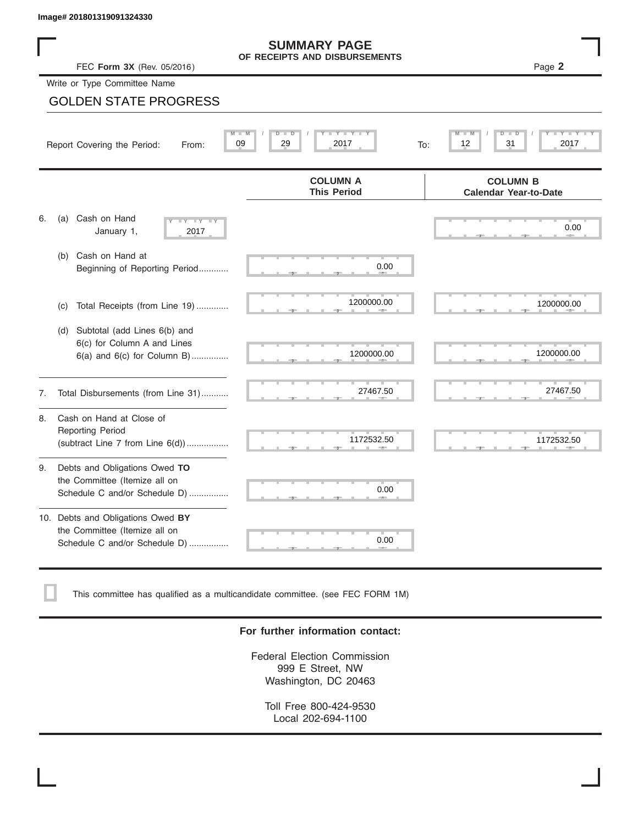#### **SUMMARY PAGE OF RECEIPTS AND DISBURSEMENTS**

## GOLDEN STATE PROGRESS

|    | Image# 201801319091324330                                                                           |                                                      |                                                 |
|----|-----------------------------------------------------------------------------------------------------|------------------------------------------------------|-------------------------------------------------|
|    | FEC Form 3X (Rev. 05/2016)                                                                          | <b>SUMMARY PAGE</b><br>OF RECEIPTS AND DISBURSEMENTS | Page 2                                          |
|    | Write or Type Committee Name                                                                        |                                                      |                                                 |
|    | <b>GOLDEN STATE PROGRESS</b>                                                                        |                                                      |                                                 |
|    | Report Covering the Period:<br>From:                                                                | $Y - Y - I$<br>D =<br>D<br>2017<br>09<br>29<br>To:   | D<br>31<br>2017<br>12                           |
|    |                                                                                                     | <b>COLUMN A</b><br><b>This Period</b>                | <b>COLUMN B</b><br><b>Calendar Year-to-Date</b> |
| 6. | Cash on Hand<br>(a)<br>$-Y - Y - Y$<br>January 1,<br>2017                                           |                                                      | 0.00                                            |
|    | Cash on Hand at<br>(b)<br>Beginning of Reporting Period                                             | 0.00                                                 |                                                 |
|    | Total Receipts (from Line 19)<br>(c)                                                                | 1200000.00                                           | 1200000.00                                      |
|    | Subtotal (add Lines 6(b) and<br>(d)<br>6(c) for Column A and Lines<br>6(a) and 6(c) for Column B)   | 1200000.00                                           | 1200000.00                                      |
| 7. | Total Disbursements (from Line 31)                                                                  | 27467.50                                             | 27467.50                                        |
| 8. | Cash on Hand at Close of<br><b>Reporting Period</b><br>(subtract Line $7$ from Line $6(d)$ )        | 1172532.50                                           | 1172532.50                                      |
| 9. | Debts and Obligations Owed TO<br>the Committee (Itemize all on<br>Schedule C and/or Schedule D)     | 0.00                                                 |                                                 |
|    | 10. Debts and Obligations Owed BY<br>the Committee (Itemize all on<br>Schedule C and/or Schedule D) | T<br>0.00                                            |                                                 |

This committee has qualified as a multicandidate committee. (see FEC FORM 1M)

#### **For further information contact:**

Federal Election Commission 999 E Street, NW Washington, DC 20463

Toll Free 800-424-9530 Local 202-694-1100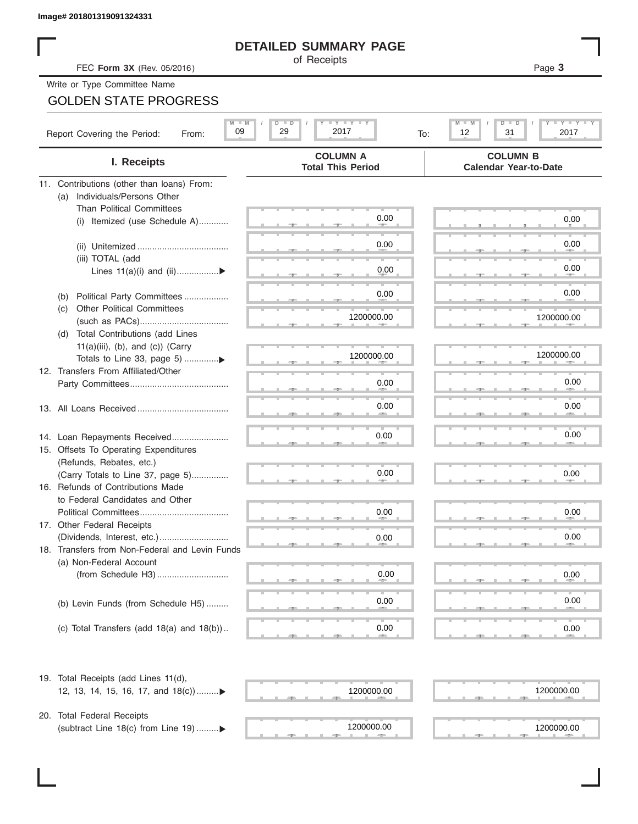## **DETAILED SUMMARY PAGE**

# GOLDEN STATE PROGRESS

| Image# 201801319091324331                                            |                                                 |                                                 |
|----------------------------------------------------------------------|-------------------------------------------------|-------------------------------------------------|
|                                                                      | <b>DETAILED SUMMARY PAGE</b>                    |                                                 |
| FEC Form 3X (Rev. 05/2016)                                           | of Receipts                                     | Page 3                                          |
| Write or Type Committee Name                                         |                                                 |                                                 |
| <b>GOLDEN STATE PROGRESS</b>                                         |                                                 |                                                 |
|                                                                      |                                                 |                                                 |
| $M$ $M$<br>09<br>Report Covering the Period:<br>From:                | <b>LY LY LY</b><br>$D$ $D$<br>29<br>2017<br>To: | M<br>Y I Y I<br>$D$ $\Box$<br>12<br>31<br>2017  |
| I. Receipts                                                          | <b>COLUMN A</b><br><b>Total This Period</b>     | <b>COLUMN B</b><br><b>Calendar Year-to-Date</b> |
| 11. Contributions (other than loans) From:                           |                                                 |                                                 |
| Individuals/Persons Other<br>(a)                                     |                                                 |                                                 |
| <b>Than Political Committees</b>                                     | 0.00                                            | 0.00                                            |
| Itemized (use Schedule A)<br>(i)                                     |                                                 |                                                 |
|                                                                      | 0.00                                            | 0.00                                            |
| (iii) TOTAL (add                                                     |                                                 |                                                 |
| Lines $11(a)(i)$ and $(ii)$                                          | 0.00                                            | 0.00                                            |
| Political Party Committees                                           | 0.00                                            | 0.00                                            |
| (b)<br><b>Other Political Committees</b><br>(C)                      |                                                 |                                                 |
|                                                                      | 1200000.00                                      | 1200000.00                                      |
| (d) Total Contributions (add Lines                                   |                                                 |                                                 |
| $11(a)(iii)$ , (b), and (c)) (Carry                                  |                                                 |                                                 |
|                                                                      | 1200000.00                                      | 1200000.00                                      |
| 12. Transfers From Affiliated/Other                                  | 0.00                                            | 0.00                                            |
|                                                                      |                                                 |                                                 |
|                                                                      | 0.00                                            | 0.00                                            |
|                                                                      |                                                 |                                                 |
| 14. Loan Repayments Received                                         | 0.00                                            | 0.00                                            |
| 15. Offsets To Operating Expenditures                                |                                                 |                                                 |
| (Refunds, Rebates, etc.)                                             |                                                 |                                                 |
| (Carry Totals to Line 37, page 5)                                    | 0.00                                            | 0.00                                            |
| 16. Refunds of Contributions Made<br>to Federal Candidates and Other |                                                 |                                                 |
| Political Committees                                                 | 0.00                                            | 0.00                                            |
| 17. Other Federal Receipts                                           |                                                 |                                                 |
| (Dividends, Interest, etc.)                                          | 0.00                                            | 0.00                                            |
| 18. Transfers from Non-Federal and Levin Funds                       |                                                 |                                                 |
| (a) Non-Federal Account                                              |                                                 |                                                 |
|                                                                      | 0.00                                            | 0.00                                            |
|                                                                      |                                                 | 0.00                                            |
| (b) Levin Funds (from Schedule H5)                                   | 0.00                                            |                                                 |
| (c) Total Transfers (add $18(a)$ and $18(b)$ )                       | 0.00                                            | 0.00                                            |
|                                                                      |                                                 |                                                 |
| 19. Total Receipts (add Lines 11(d),                                 |                                                 |                                                 |
| 12, 13, 14, 15, 16, 17, and 18(c))                                   | 1200000.00                                      | 1200000.00                                      |
|                                                                      |                                                 |                                                 |
| 20. Total Federal Receipts                                           |                                                 |                                                 |
| (subtract Line 18(c) from Line 19)▶                                  | 1200000.00                                      | 1200000.00                                      |

(subtract Line 18(c) from Line 19) ......... $\blacktriangleright$ 

 $\frac{1200000.00}{\frac{1}{2}}$ 

1200000.00 1200000.00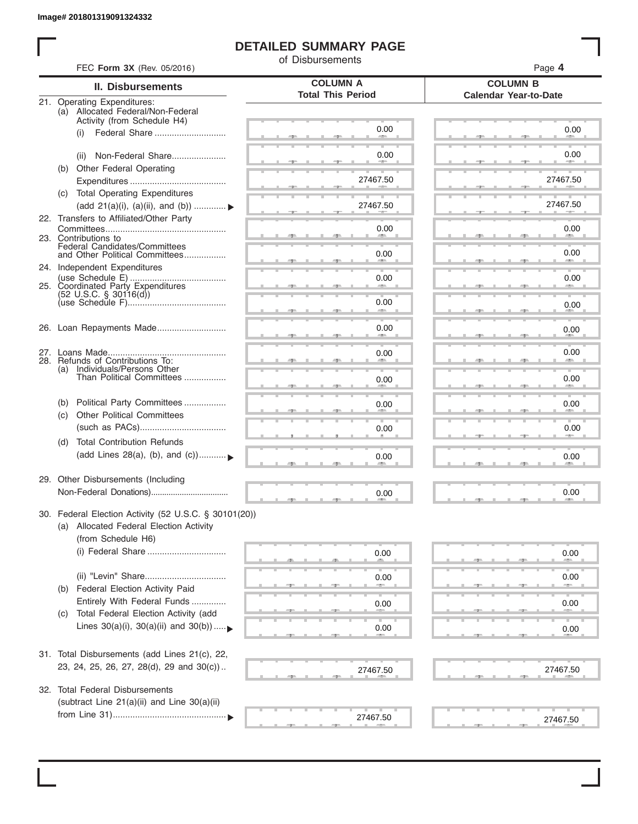I

## **DETAILED SUMMARY PAGE**

of Disbursements

| FEC Form 3X (Rev. 05/2016)                                                                                             |                                             | Page 4<br><b>COLUMN B</b>    |  |  |  |  |
|------------------------------------------------------------------------------------------------------------------------|---------------------------------------------|------------------------------|--|--|--|--|
| II. Disbursements                                                                                                      | <b>COLUMN A</b><br><b>Total This Period</b> |                              |  |  |  |  |
| 21. Operating Expenditures:<br>(a) Allocated Federal/Non-Federal<br>Activity (from Schedule H4)                        |                                             | <b>Calendar Year-to-Date</b> |  |  |  |  |
| Federal Share<br>(i)                                                                                                   | 0.00                                        | 0.00                         |  |  |  |  |
| Non-Federal Share<br>(ii)                                                                                              | 0.00                                        | 0.00                         |  |  |  |  |
| (b) Other Federal Operating                                                                                            | 27467.50                                    | 27467.50                     |  |  |  |  |
| (c) Total Operating Expenditures<br>(add 21(a)(i), (a)(ii), and (b))                                                   | 27467.50                                    | 27467.50                     |  |  |  |  |
| 22. Transfers to Affiliated/Other Party                                                                                | 0.00                                        | 0.00                         |  |  |  |  |
| 23. Contributions to<br>Federal Candidates/Committees<br>and Other Political Committees                                |                                             | 49.75<br>0.00                |  |  |  |  |
| 24. Independent Expenditures                                                                                           | 0.00                                        |                              |  |  |  |  |
| 25. Coordinated Party Expenditures                                                                                     | 0.00                                        | 0.00                         |  |  |  |  |
| $(52 \text{ U.S.C. }$ § 30116(d))                                                                                      | 0.00<br>an a                                | 0.00                         |  |  |  |  |
| 26. Loan Repayments Made                                                                                               | 0.00                                        | 0.00                         |  |  |  |  |
| 28. Refunds of Contributions To:                                                                                       | 0.00                                        | 0.00                         |  |  |  |  |
| (a) Individuals/Persons Other<br>Than Political Committees                                                             | 0.00                                        | 0.00                         |  |  |  |  |
| Political Party Committees<br>(b)                                                                                      | 0.00                                        | 0.00                         |  |  |  |  |
| <b>Other Political Committees</b><br>(c)                                                                               | 0.00                                        | 0.00                         |  |  |  |  |
| <b>Total Contribution Refunds</b><br>(d)<br>(add Lines 28(a), (b), and (c))                                            | 0.00                                        | 0.00                         |  |  |  |  |
| 29. Other Disbursements (Including                                                                                     | 0.00                                        | 0.00                         |  |  |  |  |
|                                                                                                                        |                                             |                              |  |  |  |  |
| 30. Federal Election Activity (52 U.S.C. § 30101(20))<br>(a) Allocated Federal Election Activity<br>(from Schedule H6) |                                             |                              |  |  |  |  |
|                                                                                                                        | 0.00                                        | 0.00                         |  |  |  |  |
|                                                                                                                        | 0.00                                        | 0.00                         |  |  |  |  |
| Federal Election Activity Paid<br>(b)<br>Entirely With Federal Funds                                                   | 0.00                                        | 0.00                         |  |  |  |  |
| Total Federal Election Activity (add<br>(C)<br>Lines $30(a)(i)$ , $30(a)(ii)$ and $30(b))$                             | 0.00                                        | 0.00                         |  |  |  |  |
| 31. Total Disbursements (add Lines 21(c), 22,                                                                          |                                             |                              |  |  |  |  |
| 23, 24, 25, 26, 27, 28(d), 29 and 30(c))                                                                               | 27467.50                                    | 27467.50                     |  |  |  |  |
| 32. Total Federal Disbursements                                                                                        |                                             |                              |  |  |  |  |
| (subtract Line 21(a)(ii) and Line 30(a)(ii)                                                                            | 27467.50                                    | 27467.50                     |  |  |  |  |
|                                                                                                                        |                                             |                              |  |  |  |  |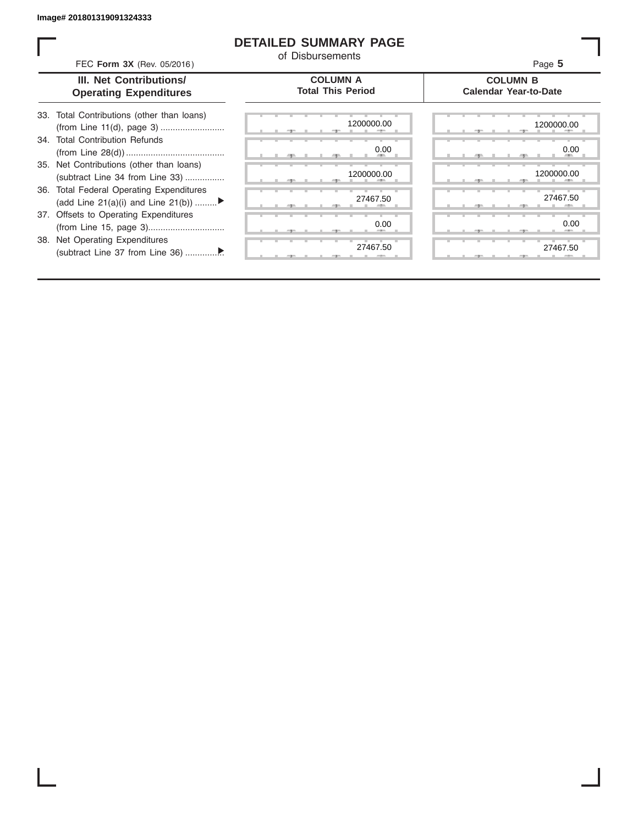38. Net Operating Expenditures

#### **DETAILED SUMMARY PAGE**

of Disbursements

| FEC Form 3X (Rev. 05/2016)<br>Page 5 |
|--------------------------------------|
|--------------------------------------|

#### **III. Net Contributions/ Operating Expenditures**

| 33. Total Contributions (other than loans) |
|--------------------------------------------|
|                                            |
| 34. Total Contribution Refunds             |
|                                            |
| 35. Net Contributions (other than loans)   |
| (subtract Line 34 from Line 33)            |
| 36. Total Federal Operating Expenditures   |
| (add Line 21(a)(i) and Line 21(b))         |
| 37. Offsets to Operating Expenditures      |
| (from Line 15, page 3)                     |
|                                            |

(subtract Line 37 from Line 36) ................ ▼

**COLUMN A Total This Period**

#### **COLUMN B Calendar Year-to-Date**

|  |        |   |   |       | 1200000.00    |
|--|--------|---|---|-------|---------------|
|  | ヮ<br>m |   |   | --    |               |
|  |        |   |   |       | 0.00          |
|  | -91    | ٠ | ш | - 7 - |               |
|  |        |   |   |       | 1200000.00    |
|  | 51     | ш |   | 51    |               |
|  |        |   |   |       | 27467.50      |
|  | 51     |   |   | 5 L   |               |
|  |        |   |   |       | 0.00          |
|  | ヮ      |   |   | ユー    | 80            |
|  |        |   |   |       | ъ<br>27467.50 |
|  |        |   |   |       |               |

|  |  |    | 1200000.00                   |  |  |  | 1200000.00           |
|--|--|----|------------------------------|--|--|--|----------------------|
|  |  | -9 | 0.00<br><b>All Contracts</b> |  |  |  | 0.00<br><b>Allen</b> |
|  |  |    | 1200000.00                   |  |  |  | 1200000.00           |
|  |  |    |                              |  |  |  |                      |
|  |  |    | 27467.50                     |  |  |  | 27467.50             |
|  |  |    | 0.00                         |  |  |  | 0.00                 |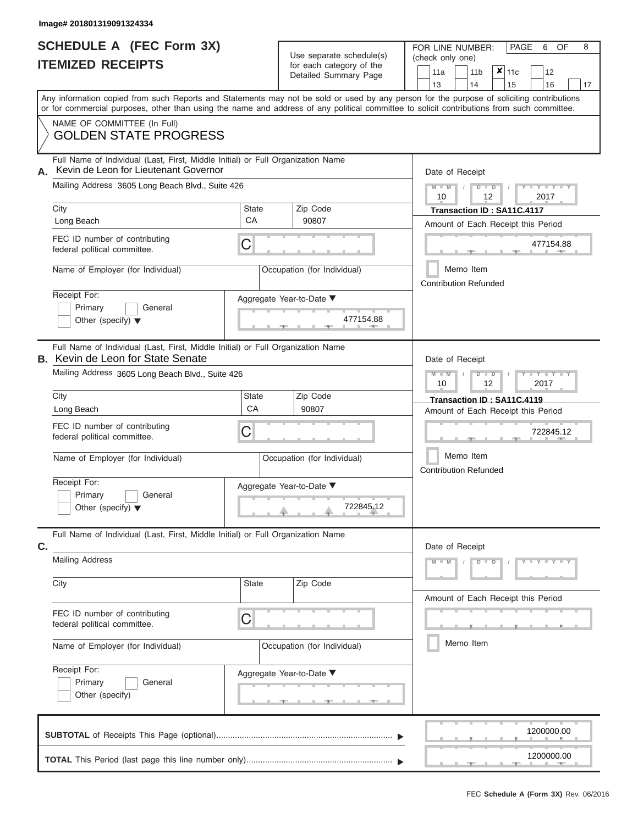|                          | <b>SCHEDULE A (FEC Form 3X)</b> |
|--------------------------|---------------------------------|
| <b>ITEMIZED RECEIPTS</b> |                                 |

Use separate schedule(s)  $\left(\begin{array}{c} \text{check only one} \\ \text{check only one} \end{array}\right)$ 

FOR LINE NUMBER:

PAGE 6 OF 8

| IIEMIZED RECEIPIS                                                                                                                                                                                                                                                                       |                          | for each category of the<br>Detailed Summary Page | 11a<br>13                    | 11 <sub>b</sub><br>14 | ×<br>11c<br>15                                                   | 12<br>16          | 17 |
|-----------------------------------------------------------------------------------------------------------------------------------------------------------------------------------------------------------------------------------------------------------------------------------------|--------------------------|---------------------------------------------------|------------------------------|-----------------------|------------------------------------------------------------------|-------------------|----|
| Any information copied from such Reports and Statements may not be sold or used by any person for the purpose of soliciting contributions<br>or for commercial purposes, other than using the name and address of any political committee to solicit contributions from such committee. |                          |                                                   |                              |                       |                                                                  |                   |    |
| NAME OF COMMITTEE (In Full)<br><b>GOLDEN STATE PROGRESS</b>                                                                                                                                                                                                                             |                          |                                                   |                              |                       |                                                                  |                   |    |
| Full Name of Individual (Last, First, Middle Initial) or Full Organization Name<br>Kevin de Leon for Lieutenant Governor<br>А.<br>Mailing Address 3605 Long Beach Blvd., Suite 426                                                                                                      |                          |                                                   | Date of Receipt<br>10        | 12                    | $\overline{D}$                                                   | $Y - Y$<br>2017   |    |
| City<br>Long Beach<br>FEC ID number of contributing                                                                                                                                                                                                                                     | <b>State</b><br>CA       | Zip Code<br>90807                                 |                              |                       | Transaction ID: SA11C.4117<br>Amount of Each Receipt this Period |                   |    |
| federal political committee.<br>Name of Employer (for Individual)                                                                                                                                                                                                                       | С                        | Occupation (for Individual)                       |                              | Memo Item             |                                                                  | 477154.88         |    |
| Receipt For:<br>Primary<br>General<br>Other (specify) $\blacktriangledown$                                                                                                                                                                                                              | Aggregate Year-to-Date ▼ | 477154.88                                         | <b>Contribution Refunded</b> |                       |                                                                  |                   |    |
| Full Name of Individual (Last, First, Middle Initial) or Full Organization Name<br><b>B.</b> Kevin de Leon for State Senate<br>Mailing Address 3605 Long Beach Blvd., Suite 426                                                                                                         |                          |                                                   | Date of Receipt              |                       |                                                                  | Y L               |    |
| City<br>Long Beach<br>FEC ID number of contributing<br>federal political committee.                                                                                                                                                                                                     | State<br>CA<br>С         | Zip Code<br>90807                                 | 10                           | 12                    | Transaction ID: SA11C.4119<br>Amount of Each Receipt this Period | 2017<br>722845.12 |    |
| Name of Employer (for Individual)                                                                                                                                                                                                                                                       |                          | Occupation (for Individual)                       | <b>Contribution Refunded</b> | Memo Item             |                                                                  |                   |    |
| Receipt For:<br>Primary<br>General<br>Other (specify) $\blacktriangledown$                                                                                                                                                                                                              | Aggregate Year-to-Date ▼ | 722845.12                                         |                              |                       |                                                                  |                   |    |
| Full Name of Individual (Last, First, Middle Initial) or Full Organization Name<br>C.                                                                                                                                                                                                   |                          |                                                   | Date of Receipt              |                       |                                                                  |                   |    |
| <b>Mailing Address</b><br>City                                                                                                                                                                                                                                                          | State                    | Zip Code                                          | $-W$                         | D                     | $\overline{D}$                                                   | Y L Y L           |    |
| FEC ID number of contributing<br>federal political committee.<br>Name of Employer (for Individual)                                                                                                                                                                                      | C                        | Occupation (for Individual)                       |                              | Memo Item             | Amount of Each Receipt this Period                               |                   |    |
| Receipt For:<br>Primary<br>General<br>Other (specify)                                                                                                                                                                                                                                   | Aggregate Year-to-Date ▼ |                                                   |                              |                       |                                                                  |                   |    |
|                                                                                                                                                                                                                                                                                         |                          |                                                   |                              |                       |                                                                  | 1200000.00        |    |
|                                                                                                                                                                                                                                                                                         |                          |                                                   |                              |                       |                                                                  | 1200000.00        |    |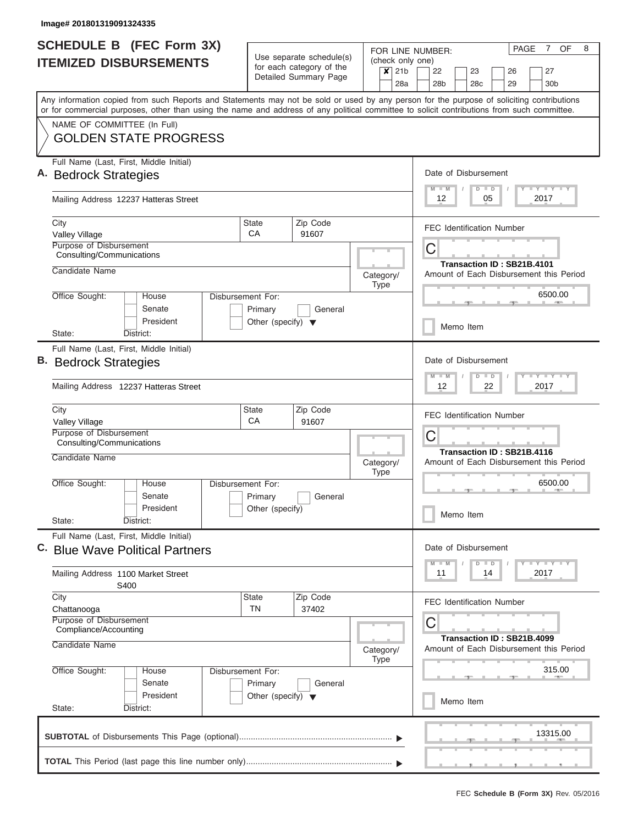| <b>SCHEDULE B (FEC Form 3X)</b>                                                                                                                                                                                                                                                         | Use separate schedule(s)                                   | (check only one)         | $7^{\circ}$<br>OF<br>8<br>PAGE<br>FOR LINE NUMBER:                                                         |  |  |  |  |  |  |  |
|-----------------------------------------------------------------------------------------------------------------------------------------------------------------------------------------------------------------------------------------------------------------------------------------|------------------------------------------------------------|--------------------------|------------------------------------------------------------------------------------------------------------|--|--|--|--|--|--|--|
| <b>ITEMIZED DISBURSEMENTS</b>                                                                                                                                                                                                                                                           | for each category of the<br>Detailed Summary Page          | $x$ 21b<br>28a           | 23<br>27<br>22<br>26<br>28 <sub>b</sub><br>28 <sub>c</sub><br>29<br>30 <sub>b</sub>                        |  |  |  |  |  |  |  |
| Any information copied from such Reports and Statements may not be sold or used by any person for the purpose of soliciting contributions<br>or for commercial purposes, other than using the name and address of any political committee to solicit contributions from such committee. |                                                            |                          |                                                                                                            |  |  |  |  |  |  |  |
| NAME OF COMMITTEE (In Full)<br><b>GOLDEN STATE PROGRESS</b>                                                                                                                                                                                                                             |                                                            |                          |                                                                                                            |  |  |  |  |  |  |  |
| Full Name (Last, First, Middle Initial)<br>А.<br><b>Bedrock Strategies</b>                                                                                                                                                                                                              |                                                            |                          | Date of Disbursement<br><b>LY LY LY</b><br>$-M$<br>$\Box$<br>D                                             |  |  |  |  |  |  |  |
| Mailing Address 12237 Hatteras Street                                                                                                                                                                                                                                                   |                                                            |                          | 2017<br>12<br>05                                                                                           |  |  |  |  |  |  |  |
| City<br>Valley Village<br><b>Purpose of Disbursement</b>                                                                                                                                                                                                                                | <b>State</b><br>Zip Code<br>CA<br>91607                    |                          | <b>FEC Identification Number</b><br>С                                                                      |  |  |  |  |  |  |  |
| Consulting/Communications<br>Candidate Name                                                                                                                                                                                                                                             |                                                            | Category/<br><b>Type</b> | Transaction ID: SB21B.4101<br>Amount of Each Disbursement this Period                                      |  |  |  |  |  |  |  |
| Office Sought:<br>Disbursement For:<br>House<br>Senate<br>President                                                                                                                                                                                                                     | Primary<br>General<br>Other (specify) $\blacktriangledown$ |                          | 6500.00<br>Memo Item                                                                                       |  |  |  |  |  |  |  |
| State:<br>District:<br>Full Name (Last, First, Middle Initial)<br>В.<br><b>Bedrock Strategies</b>                                                                                                                                                                                       |                                                            |                          | Date of Disbursement                                                                                       |  |  |  |  |  |  |  |
| Mailing Address 12237 Hatteras Street                                                                                                                                                                                                                                                   |                                                            |                          | $T - Y = T - Y$<br>$\overline{M}$<br>$-M$<br>D<br>$\blacksquare$<br>2017<br>12<br>22                       |  |  |  |  |  |  |  |
| City<br>Valley Village<br>Purpose of Disbursement                                                                                                                                                                                                                                       | Zip Code<br><b>State</b><br>СA<br>91607                    |                          | <b>FEC Identification Number</b>                                                                           |  |  |  |  |  |  |  |
| Consulting/Communications<br>Candidate Name                                                                                                                                                                                                                                             |                                                            | Category/                | С<br>Transaction ID: SB21B.4116<br>Amount of Each Disbursement this Period                                 |  |  |  |  |  |  |  |
| Office Sought:<br>Disbursement For:<br>House<br>Senate<br>President<br>State:<br>District:                                                                                                                                                                                              | Primary<br>General<br>Other (specify)                      | <b>Type</b>              | 6500.00<br>Memo Item                                                                                       |  |  |  |  |  |  |  |
| Full Name (Last, First, Middle Initial)<br>C. Blue Wave Political Partners                                                                                                                                                                                                              |                                                            |                          |                                                                                                            |  |  |  |  |  |  |  |
| Mailing Address 1100 Market Street<br>S400                                                                                                                                                                                                                                              |                                                            |                          | $\mathbb{L} \mathbf{Y} \mathbb{L} \mathbf{Y} \mathbb{L} \mathbf{Y}$<br>$D$ $D$<br>$-M$<br>14<br>2017<br>11 |  |  |  |  |  |  |  |
| City<br>Chattanooga<br>Purpose of Disbursement                                                                                                                                                                                                                                          | <b>State</b><br>Zip Code<br><b>TN</b><br>37402             |                          | <b>FEC Identification Number</b>                                                                           |  |  |  |  |  |  |  |
| Compliance/Accounting<br>Candidate Name                                                                                                                                                                                                                                                 |                                                            | Category/<br><b>Type</b> | С<br>Transaction ID: SB21B.4099<br>Amount of Each Disbursement this Period                                 |  |  |  |  |  |  |  |
| Office Sought:<br>Disbursement For:<br>House<br>Senate<br>President                                                                                                                                                                                                                     | Primary<br>General<br>Other (specify) $\blacktriangledown$ |                          | 315.00                                                                                                     |  |  |  |  |  |  |  |
| State:<br>District:                                                                                                                                                                                                                                                                     |                                                            |                          | Memo Item                                                                                                  |  |  |  |  |  |  |  |
|                                                                                                                                                                                                                                                                                         |                                                            |                          | 13315.00                                                                                                   |  |  |  |  |  |  |  |
|                                                                                                                                                                                                                                                                                         |                                                            |                          |                                                                                                            |  |  |  |  |  |  |  |